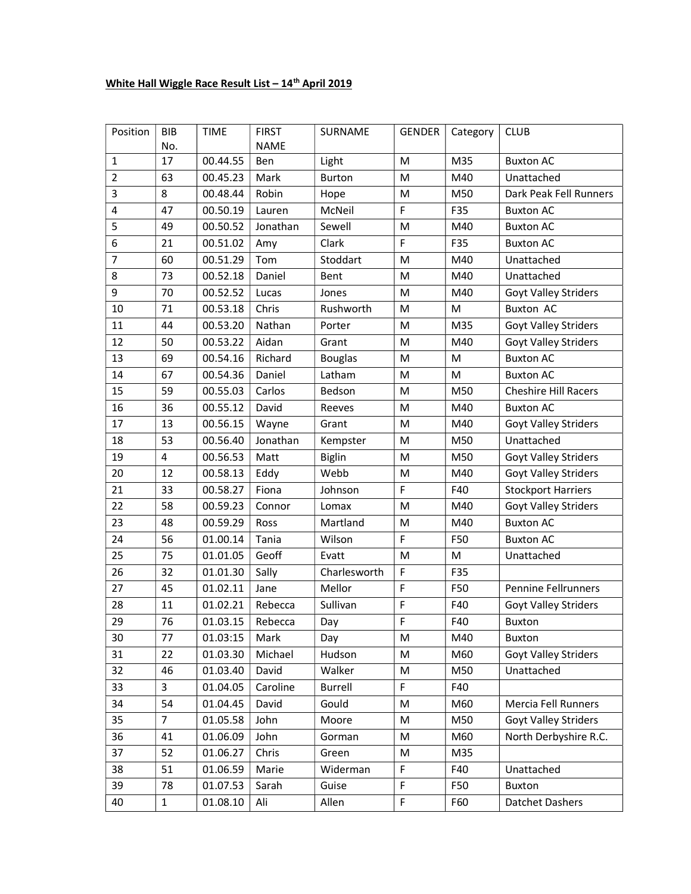## White Hall Wiggle Race Result List -  $14<sup>th</sup>$  April 2019

| Position       | <b>BIB</b><br>No. | <b>TIME</b> | <b>FIRST</b><br><b>NAME</b> | SURNAME        | <b>GENDER</b> | Category | <b>CLUB</b>                 |
|----------------|-------------------|-------------|-----------------------------|----------------|---------------|----------|-----------------------------|
| 1              | 17                | 00.44.55    | Ben                         | Light          | M             | M35      | <b>Buxton AC</b>            |
| $\overline{2}$ | 63                | 00.45.23    | Mark                        | <b>Burton</b>  | M             | M40      | Unattached                  |
| 3              | 8                 | 00.48.44    | Robin                       | Hope           | M             | M50      | Dark Peak Fell Runners      |
| 4              | 47                | 00.50.19    | Lauren                      | McNeil         | F             | F35      | <b>Buxton AC</b>            |
| 5              | 49                | 00.50.52    | Jonathan                    | Sewell         | M             | M40      | <b>Buxton AC</b>            |
| 6              | 21                | 00.51.02    | Amy                         | Clark          | F             | F35      | <b>Buxton AC</b>            |
| $\overline{7}$ | 60                | 00.51.29    | Tom                         | Stoddart       | M             | M40      | Unattached                  |
| 8              | 73                | 00.52.18    | Daniel                      | Bent           | M             | M40      | Unattached                  |
| 9              | 70                | 00.52.52    | Lucas                       | Jones          | M             | M40      | Goyt Valley Striders        |
| 10             | 71                | 00.53.18    | Chris                       | Rushworth      | M             | M        | <b>Buxton AC</b>            |
| 11             | 44                | 00.53.20    | Nathan                      | Porter         | M             | M35      | Goyt Valley Striders        |
| 12             | 50                | 00.53.22    | Aidan                       | Grant          | M             | M40      | <b>Goyt Valley Striders</b> |
| 13             | 69                | 00.54.16    | Richard                     | <b>Bouglas</b> | M             | M        | <b>Buxton AC</b>            |
| 14             | 67                | 00.54.36    | Daniel                      | Latham         | M             | M        | <b>Buxton AC</b>            |
| 15             | 59                | 00.55.03    | Carlos                      | Bedson         | M             | M50      | <b>Cheshire Hill Racers</b> |
| 16             | 36                | 00.55.12    | David                       | Reeves         | M             | M40      | <b>Buxton AC</b>            |
| 17             | 13                | 00.56.15    | Wayne                       | Grant          | M             | M40      | <b>Goyt Valley Striders</b> |
| 18             | 53                | 00.56.40    | Jonathan                    | Kempster       | M             | M50      | Unattached                  |
| 19             | 4                 | 00.56.53    | Matt                        | <b>Biglin</b>  | M             | M50      | Goyt Valley Striders        |
| 20             | 12                | 00.58.13    | Eddy                        | Webb           | M             | M40      | Goyt Valley Striders        |
| 21             | 33                | 00.58.27    | Fiona                       | Johnson        | F             | F40      | <b>Stockport Harriers</b>   |
| 22             | 58                | 00.59.23    | Connor                      | Lomax          | M             | M40      | <b>Goyt Valley Striders</b> |
| 23             | 48                | 00.59.29    | Ross                        | Martland       | M             | M40      | <b>Buxton AC</b>            |
| 24             | 56                | 01.00.14    | Tania                       | Wilson         | F             | F50      | <b>Buxton AC</b>            |
| 25             | 75                | 01.01.05    | Geoff                       | Evatt          | M             | M        | Unattached                  |
| 26             | 32                | 01.01.30    | Sally                       | Charlesworth   | F             | F35      |                             |
| 27             | 45                | 01.02.11    | Jane                        | Mellor         | F             | F50      | <b>Pennine Fellrunners</b>  |
| 28             | 11                | 01.02.21    | Rebecca                     | Sullivan       | F             | F40      | <b>Goyt Valley Striders</b> |
| 29             | 76                | 01.03.15    | Rebecca                     | Day            | F             | F40      | <b>Buxton</b>               |
| 30             | 77                | 01.03:15    | Mark                        | Day            | M             | M40      | Buxton                      |
| 31             | 22                | 01.03.30    | Michael                     | Hudson         | M             | M60      | <b>Goyt Valley Striders</b> |
| 32             | 46                | 01.03.40    | David                       | Walker         | M             | M50      | Unattached                  |
| 33             | 3                 | 01.04.05    | Caroline                    | Burrell        | F             | F40      |                             |
| 34             | 54                | 01.04.45    | David                       | Gould          | M             | M60      | Mercia Fell Runners         |
| 35             | $\overline{7}$    | 01.05.58    | John                        | Moore          | M             | M50      | <b>Goyt Valley Striders</b> |
| 36             | 41                | 01.06.09    | John                        | Gorman         | M             | M60      | North Derbyshire R.C.       |
| 37             | 52                | 01.06.27    | Chris                       | Green          | M             | M35      |                             |
| 38             | 51                | 01.06.59    | Marie                       | Widerman       | F             | F40      | Unattached                  |
| 39             | 78                | 01.07.53    | Sarah                       | Guise          | F             | F50      | <b>Buxton</b>               |
| 40             | $\mathbf{1}$      | 01.08.10    | Ali                         | Allen          | F             | F60      | Datchet Dashers             |